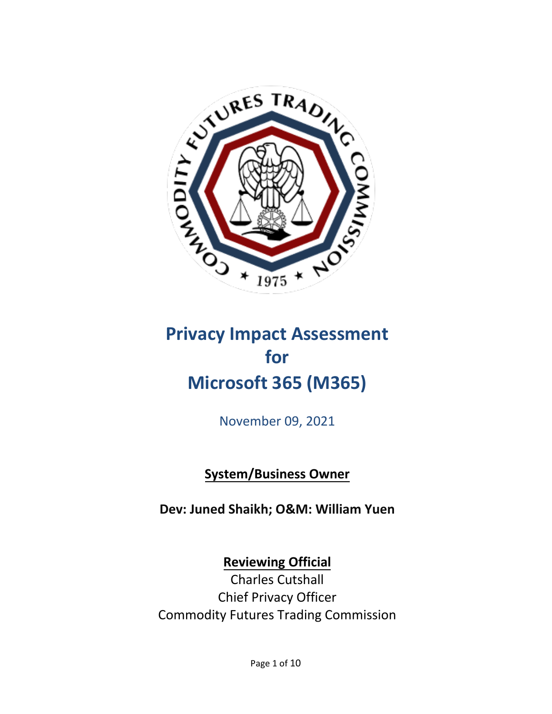

# **for Microsoft 365 (M365)**

November 09, 2021

**System/Business Owner**

**Dev: Juned Shaikh; O&M: William Yuen**

**Reviewing Official**

Charles Cutshall Chief Privacy Officer Commodity Futures Trading Commission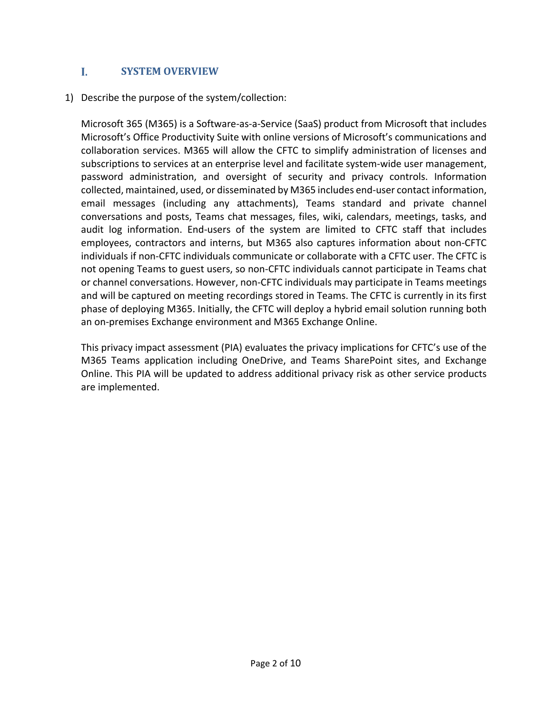#### L  **SYSTEM OVERVIEW**

1) Describe the purpose of the system/collection:

Microsoft 365 (M365) is a Software-as-a-Service (SaaS) product from Microsoft that includes Microsoft's Office Productivity Suite with online versions of Microsoft's communications and collaboration services. M365 will allow the CFTC to simplify administration of licenses and subscriptions to services at an enterprise level and facilitate system-wide user management, password administration, and oversight of security and privacy controls. Information collected, maintained, used, or disseminated by M365 includes end-user contact information, email messages (including any attachments), Teams standard and private channel conversations and posts, Teams chat messages, files, wiki, calendars, meetings, tasks, and audit log information. End-users of the system are limited to CFTC staff that includes employees, contractors and interns, but M365 also captures information about non-CFTC individuals if non-CFTC individuals communicate or collaborate with a CFTC user. The CFTC is not opening Teams to guest users, so non-CFTC individuals cannot participate in Teams chat or channel conversations. However, non-CFTC individuals may participate in Teams meetings and will be captured on meeting recordings stored in Teams. The CFTC is currently in its first phase of deploying M365. Initially, the CFTC will deploy a hybrid email solution running both an on-premises Exchange environment and M365 Exchange Online.

This privacy impact assessment (PIA) evaluates the privacy implications for CFTC's use of the M365 Teams application including OneDrive, and Teams SharePoint sites, and Exchange Online. This PIA will be updated to address additional privacy risk as other service products are implemented.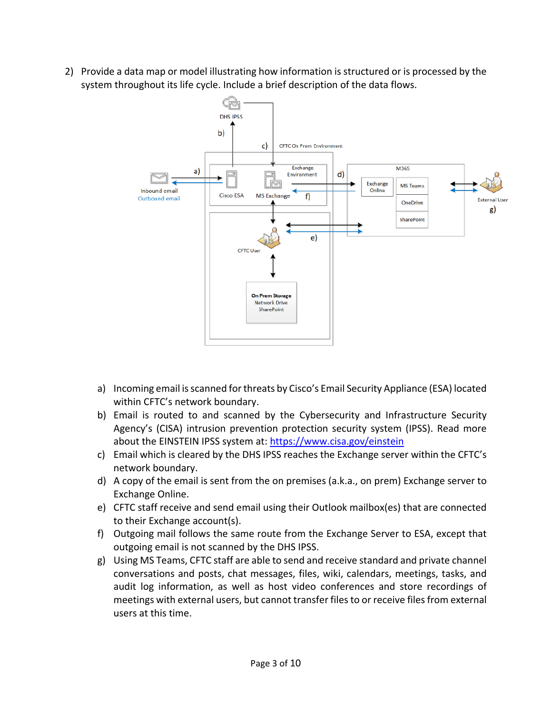2) Provide a data map or model illustrating how information is structured or is processed by the system throughout its life cycle. Include a brief description of the data flows.



- a) Incoming email is scanned for threats by Cisco's Email Security Appliance (ESA) located within CFTC's network boundary.
- b) Email is routed to and scanned by the Cybersecurity and Infrastructure Security Agency's (CISA) intrusion prevention protection security system (IPSS). Read more about the EINSTEIN IPSS system at:<https://www.cisa.gov/einstein>
- c) Email which is cleared by the DHS IPSS reaches the Exchange server within the CFTC's network boundary.
- d) A copy of the email is sent from the on premises (a.k.a., on prem) Exchange server to Exchange Online.
- e) CFTC staff receive and send email using their Outlook mailbox(es) that are connected to their Exchange account(s).
- f) Outgoing mail follows the same route from the Exchange Server to ESA, except that outgoing email is not scanned by the DHS IPSS.
- g) Using MS Teams, CFTC staff are able to send and receive standard and private channel conversations and posts, chat messages, files, wiki, calendars, meetings, tasks, and audit log information, as well as host video conferences and store recordings of meetings with external users, but cannot transfer files to or receive files from external users at this time.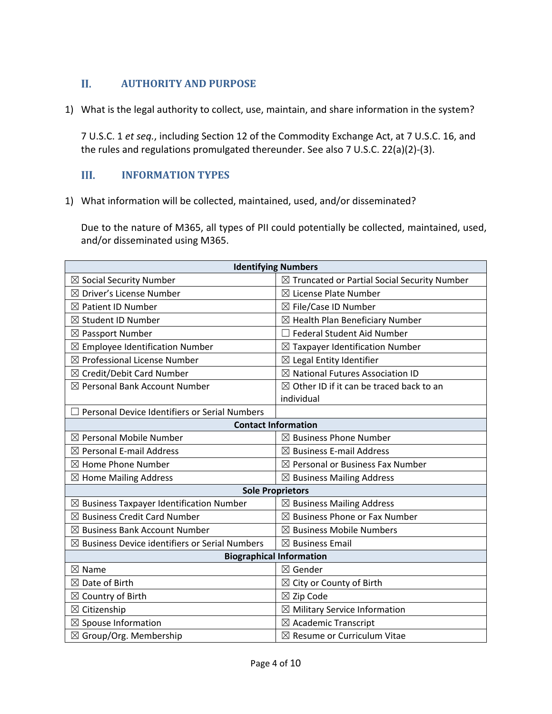# П.  **AUTHORITY AND PURPOSE**

1) What is the legal authority to collect, use, maintain, and share information in the system?

7 U.S.C. 1 *et seq.*, including Section 12 of the Commodity Exchange Act, at 7 U.S.C. 16, and the rules and regulations promulgated thereunder. See also 7 U.S.C. 22(a)(2)-(3).

# III. **INFORMATION TYPES**

1) What information will be collected, maintained, used, and/or disseminated?

Due to the nature of M365, all types of PII could potentially be collected, maintained, used, and/or disseminated using M365.

| <b>Identifying Numbers</b>                                |                                                         |  |
|-----------------------------------------------------------|---------------------------------------------------------|--|
| $\boxtimes$ Social Security Number                        | $\boxtimes$ Truncated or Partial Social Security Number |  |
| $\boxtimes$ Driver's License Number                       | $\boxtimes$ License Plate Number                        |  |
| $\boxtimes$ Patient ID Number                             | ⊠ File/Case ID Number                                   |  |
| $\boxtimes$ Student ID Number                             | $\boxtimes$ Health Plan Beneficiary Number              |  |
| $\boxtimes$ Passport Number                               | <b>Federal Student Aid Number</b>                       |  |
| $\boxtimes$ Employee Identification Number                | $\boxtimes$ Taxpayer Identification Number              |  |
| ⊠ Professional License Number                             | $\boxtimes$ Legal Entity Identifier                     |  |
| ⊠ Credit/Debit Card Number                                | $\boxtimes$ National Futures Association ID             |  |
| ⊠ Personal Bank Account Number                            | $\boxtimes$ Other ID if it can be traced back to an     |  |
|                                                           | individual                                              |  |
| Personal Device Identifiers or Serial Numbers             |                                                         |  |
| <b>Contact Information</b>                                |                                                         |  |
| $\boxtimes$ Personal Mobile Number                        | $\boxtimes$ Business Phone Number                       |  |
| $\boxtimes$ Personal E-mail Address                       | $\boxtimes$ Business E-mail Address                     |  |
| $\boxtimes$ Home Phone Number                             | $\boxtimes$ Personal or Business Fax Number             |  |
| $\boxtimes$ Home Mailing Address                          | $\boxtimes$ Business Mailing Address                    |  |
| <b>Sole Proprietors</b>                                   |                                                         |  |
| $\boxtimes$ Business Taxpayer Identification Number       | $\boxtimes$ Business Mailing Address                    |  |
| $\boxtimes$ Business Credit Card Number                   | $\boxtimes$ Business Phone or Fax Number                |  |
| $\boxtimes$ Business Bank Account Number                  | $\boxtimes$ Business Mobile Numbers                     |  |
| $\boxtimes$ Business Device identifiers or Serial Numbers | $\boxtimes$ Business Email                              |  |
| <b>Biographical Information</b>                           |                                                         |  |
| $\boxtimes$ Name                                          | ⊠ Gender                                                |  |
| $\boxtimes$ Date of Birth                                 | $\boxtimes$ City or County of Birth                     |  |
| $\boxtimes$ Country of Birth                              | $\boxtimes$ Zip Code                                    |  |
| $\boxtimes$ Citizenship                                   | $\boxtimes$ Military Service Information                |  |
| $\boxtimes$ Spouse Information                            | $\boxtimes$ Academic Transcript                         |  |
| $\boxtimes$ Group/Org. Membership                         | $\boxtimes$ Resume or Curriculum Vitae                  |  |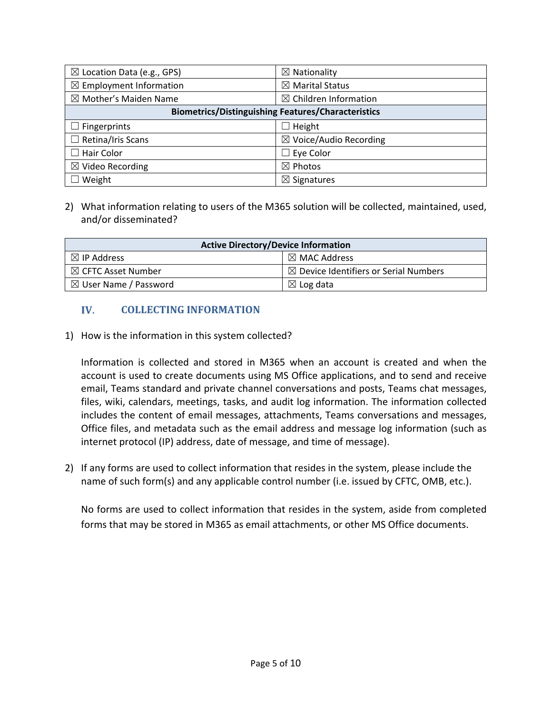| $\boxtimes$ Location Data (e.g., GPS)                     | $\boxtimes$ Nationality           |
|-----------------------------------------------------------|-----------------------------------|
| $\boxtimes$ Employment Information                        | $\boxtimes$ Marital Status        |
| $\boxtimes$ Mother's Maiden Name                          | $\boxtimes$ Children Information  |
| <b>Biometrics/Distinguishing Features/Characteristics</b> |                                   |
| $\Box$ Fingerprints                                       | $\Box$ Height                     |
| $\Box$ Retina/Iris Scans                                  | $\boxtimes$ Voice/Audio Recording |
| $\Box$ Hair Color                                         | $\Box$ Eye Color                  |
| $\boxtimes$ Video Recording                               | $\boxtimes$ Photos                |
| Weight                                                    | $\boxtimes$ Signatures            |

2) What information relating to users of the M365 solution will be collected, maintained, used, and/or disseminated?

| <b>Active Directory/Device Information</b> |                                                  |  |
|--------------------------------------------|--------------------------------------------------|--|
| $\boxtimes$ IP Address                     | $\boxtimes$ MAC Address                          |  |
| $\boxtimes$ CFTC Asset Number              | $\boxtimes$ Device Identifiers or Serial Numbers |  |
| $\boxtimes$ User Name / Password           | $\boxtimes$ Log data                             |  |

# IV.  **COLLECTING INFORMATION**

1) How is the information in this system collected?

Information is collected and stored in M365 when an account is created and when the account is used to create documents using MS Office applications, and to send and receive email, Teams standard and private channel conversations and posts, Teams chat messages, files, wiki, calendars, meetings, tasks, and audit log information. The information collected includes the content of email messages, attachments, Teams conversations and messages, Office files, and metadata such as the email address and message log information (such as internet protocol (IP) address, date of message, and time of message).

2) If any forms are used to collect information that resides in the system, please include the name of such form(s) and any applicable control number (i.e. issued by CFTC, OMB, etc.).

No forms are used to collect information that resides in the system, aside from completed forms that may be stored in M365 as email attachments, or other MS Office documents.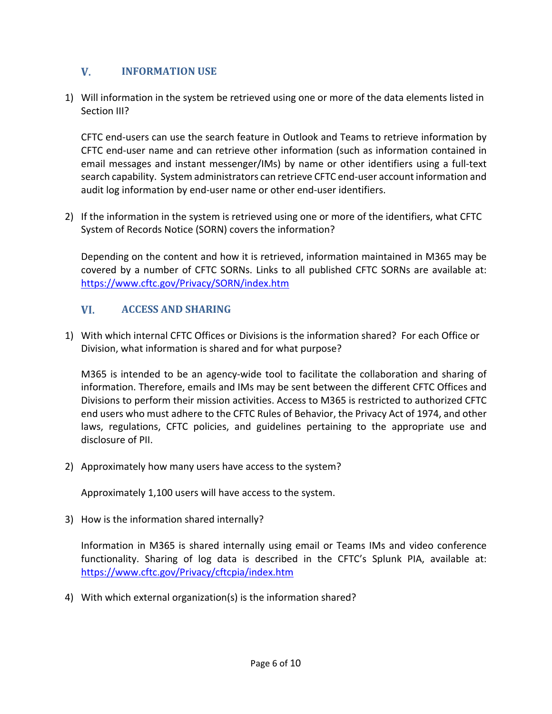# V. **INFORMATION USE**

1) Will information in the system be retrieved using one or more of the data elements listed in Section III?

CFTC end-users can use the search feature in Outlook and Teams to retrieve information by CFTC end-user name and can retrieve other information (such as information contained in email messages and instant messenger/IMs) by name or other identifiers using a full-text search capability. System administrators can retrieve CFTC end-user account information and audit log information by end-user name or other end-user identifiers.

2) If the information in the system is retrieved using one or more of the identifiers, what CFTC System of Records Notice (SORN) covers the information?

Depending on the content and how it is retrieved, information maintained in M365 may be covered by a number of CFTC SORNs. Links to all published CFTC SORNs are available at: <https://www.cftc.gov/Privacy/SORN/index.htm>

# VI. **ACCESS AND SHARING**

1) With which internal CFTC Offices or Divisions is the information shared? For each Office or Division, what information is shared and for what purpose?

M365 is intended to be an agency-wide tool to facilitate the collaboration and sharing of information. Therefore, emails and IMs may be sent between the different CFTC Offices and Divisions to perform their mission activities. Access to M365 is restricted to authorized CFTC end users who must adhere to the CFTC Rules of Behavior, the Privacy Act of 1974, and other laws, regulations, CFTC policies, and guidelines pertaining to the appropriate use and disclosure of PII.

2) Approximately how many users have access to the system?

Approximately 1,100 users will have access to the system.

3) How is the information shared internally?

Information in M365 is shared internally using email or Teams IMs and video conference functionality. Sharing of log data is described in the CFTC's Splunk PIA, available at: <https://www.cftc.gov/Privacy/cftcpia/index.htm>

4) With which external organization(s) is the information shared?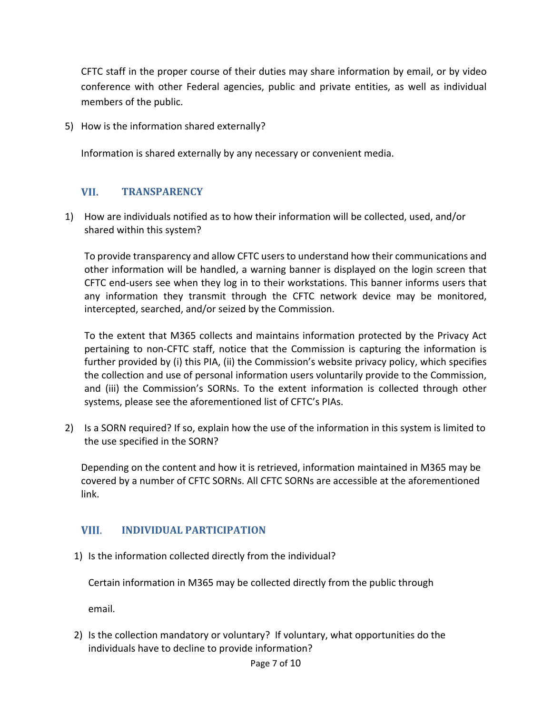CFTC staff in the proper course of their duties may share information by email, or by video conference with other Federal agencies, public and private entities, as well as individual members of the public.

5) How is the information shared externally?

Information is shared externally by any necessary or convenient media.

#### VII. **TRANSPARENCY**

1) How are individuals notified as to how their information will be collected, used, and/or shared within this system?

To provide transparency and allow CFTC users to understand how their communications and other information will be handled, a warning banner is displayed on the login screen that CFTC end-users see when they log in to their workstations. This banner informs users that any information they transmit through the CFTC network device may be monitored, intercepted, searched, and/or seized by the Commission.

To the extent that M365 collects and maintains information protected by the Privacy Act pertaining to non-CFTC staff, notice that the Commission is capturing the information is further provided by (i) this PIA, (ii) the Commission's website privacy policy, which specifies the collection and use of personal information users voluntarily provide to the Commission, and (iii) the Commission's SORNs. To the extent information is collected through other systems, please see the aforementioned list of CFTC's PIAs.

2) Is a SORN required? If so, explain how the use of the information in this system is limited to the use specified in the SORN?

Depending on the content and how it is retrieved, information maintained in M365 may be covered by a number of CFTC SORNs. All CFTC SORNs are accessible at the aforementioned link.

# VIII. **INDIVIDUAL PARTICIPATION**

1) Is the information collected directly from the individual?

Certain information in M365 may be collected directly from the public through

email.

2) Is the collection mandatory or voluntary? If voluntary, what opportunities do the individuals have to decline to provide information?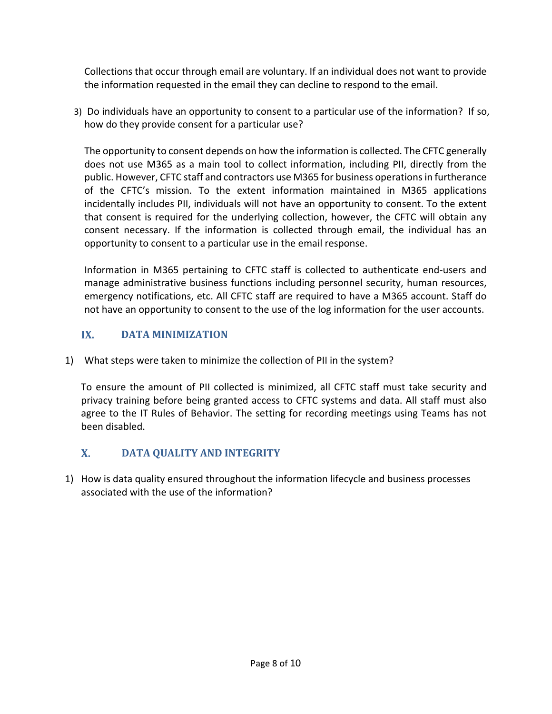Collections that occur through email are voluntary. If an individual does not want to provide the information requested in the email they can decline to respond to the email.

3) Do individuals have an opportunity to consent to a particular use of the information? If so, how do they provide consent for a particular use?

The opportunity to consent depends on how the information is collected. The CFTC generally does not use M365 as a main tool to collect information, including PII, directly from the public. However, CFTC staff and contractors use M365 for business operations in furtherance of the CFTC's mission. To the extent information maintained in M365 applications incidentally includes PII, individuals will not have an opportunity to consent. To the extent that consent is required for the underlying collection, however, the CFTC will obtain any consent necessary. If the information is collected through email, the individual has an opportunity to consent to a particular use in the email response.

Information in M365 pertaining to CFTC staff is collected to authenticate end-users and manage administrative business functions including personnel security, human resources, emergency notifications, etc. All CFTC staff are required to have a M365 account. Staff do not have an opportunity to consent to the use of the log information for the user accounts.

# IX.  **DATA MINIMIZATION**

1) What steps were taken to minimize the collection of PII in the system?

To ensure the amount of PII collected is minimized, all CFTC staff must take security and privacy training before being granted access to CFTC systems and data. All staff must also agree to the IT Rules of Behavior. The setting for recording meetings using Teams has not been disabled.

# $\mathbf{X}$ . **DATA QUALITY AND INTEGRITY**

1) How is data quality ensured throughout the information lifecycle and business processes associated with the use of the information?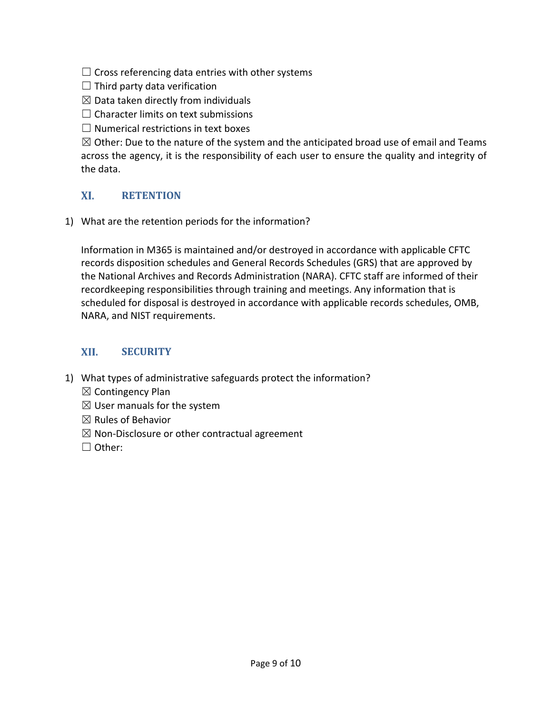$\Box$  Cross referencing data entries with other systems

 $\Box$  Third party data verification

 $\boxtimes$  Data taken directly from individuals

 $\Box$  Character limits on text submissions

 $\Box$  Numerical restrictions in text boxes

 $\boxtimes$  Other: Due to the nature of the system and the anticipated broad use of email and Teams across the agency, it is the responsibility of each user to ensure the quality and integrity of the data.

# XI. **RETENTION**

1) What are the retention periods for the information?

Information in M365 is maintained and/or destroyed in accordance with applicable CFTC records disposition schedules and General Records Schedules (GRS) that are approved by the National Archives and Records Administration (NARA). CFTC staff are informed of their recordkeeping responsibilities through training and meetings. Any information that is scheduled for disposal is destroyed in accordance with applicable records schedules, OMB, NARA, and NIST requirements.

# XII. **SECURITY**

- 1) What types of administrative safeguards protect the information?
	- $\boxtimes$  Contingency Plan
	- $\boxtimes$  User manuals for the system
	- $\boxtimes$  Rules of Behavior
	- $\boxtimes$  Non-Disclosure or other contractual agreement
	- ☐ Other: